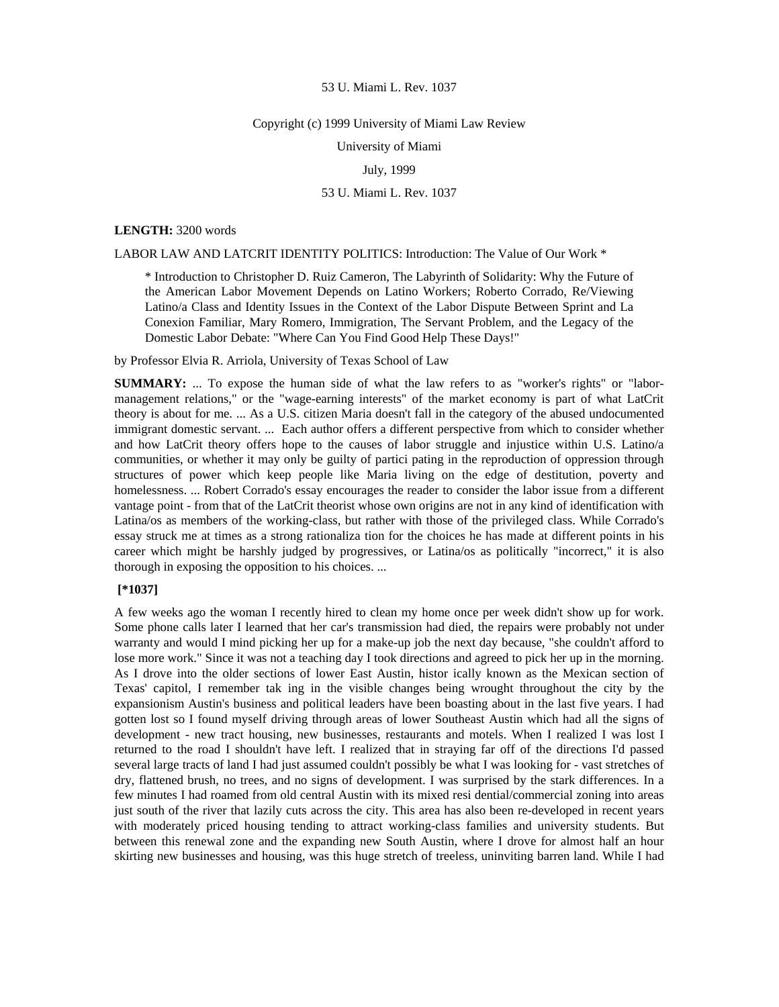#### Copyright (c) 1999 University of Miami Law Review

University of Miami

## July, 1999

## 53 U. Miami L. Rev. 1037

#### **LENGTH:** 3200 words

LABOR LAW AND LATCRIT IDENTITY POLITICS: Introduction: The Value of Our Work \*

\* Introduction to Christopher D. Ruiz Cameron, The Labyrinth of Solidarity: Why the Future of the American Labor Movement Depends on Latino Workers; Roberto Corrado, Re/Viewing Latino/a Class and Identity Issues in the Context of the Labor Dispute Between Sprint and La Conexion Familiar, Mary Romero, Immigration, The Servant Problem, and the Legacy of the Domestic Labor Debate: "Where Can You Find Good Help These Days!"

by Professor Elvia R. Arriola, University of Texas School of Law

**SUMMARY:** ... To expose the human side of what the law refers to as "worker's rights" or "labormanagement relations," or the "wage-earning interests" of the market economy is part of what LatCrit theory is about for me. ... As a U.S. citizen Maria doesn't fall in the category of the abused undocumented immigrant domestic servant. ... Each author offers a different perspective from which to consider whether and how LatCrit theory offers hope to the causes of labor struggle and injustice within U.S. Latino/a communities, or whether it may only be guilty of partici pating in the reproduction of oppression through structures of power which keep people like Maria living on the edge of destitution, poverty and homelessness. ... Robert Corrado's essay encourages the reader to consider the labor issue from a different vantage point - from that of the LatCrit theorist whose own origins are not in any kind of identification with Latina/os as members of the working-class, but rather with those of the privileged class. While Corrado's essay struck me at times as a strong rationaliza tion for the choices he has made at different points in his career which might be harshly judged by progressives, or Latina/os as politically "incorrect," it is also thorough in exposing the opposition to his choices. ...

# **[\*1037]**

A few weeks ago the woman I recently hired to clean my home once per week didn't show up for work. Some phone calls later I learned that her car's transmission had died, the repairs were probably not under warranty and would I mind picking her up for a make-up job the next day because, "she couldn't afford to lose more work." Since it was not a teaching day I took directions and agreed to pick her up in the morning. As I drove into the older sections of lower East Austin, histor ically known as the Mexican section of Texas' capitol, I remember tak ing in the visible changes being wrought throughout the city by the expansionism Austin's business and political leaders have been boasting about in the last five years. I had gotten lost so I found myself driving through areas of lower Southeast Austin which had all the signs of development - new tract housing, new businesses, restaurants and motels. When I realized I was lost I returned to the road I shouldn't have left. I realized that in straying far off of the directions I'd passed several large tracts of land I had just assumed couldn't possibly be what I was looking for - vast stretches of dry, flattened brush, no trees, and no signs of development. I was surprised by the stark differences. In a few minutes I had roamed from old central Austin with its mixed resi dential/commercial zoning into areas just south of the river that lazily cuts across the city. This area has also been re-developed in recent years with moderately priced housing tending to attract working-class families and university students. But between this renewal zone and the expanding new South Austin, where I drove for almost half an hour skirting new businesses and housing, was this huge stretch of treeless, uninviting barren land. While I had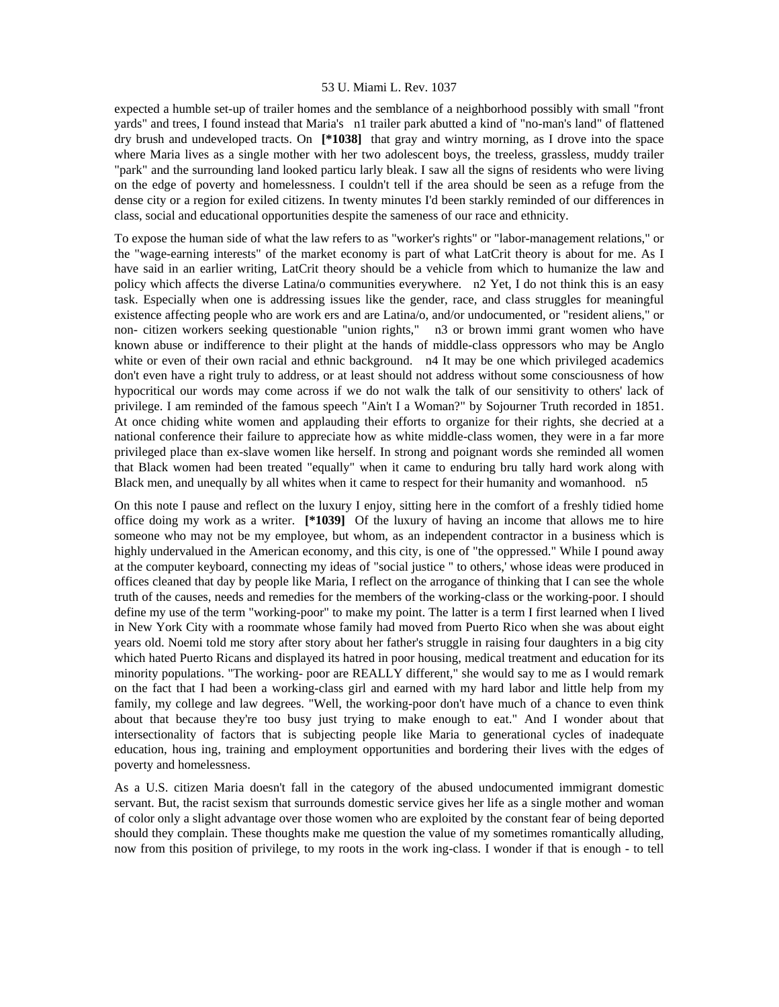expected a humble set-up of trailer homes and the semblance of a neighborhood possibly with small "front yards" and trees, I found instead that Maria's n1 trailer park abutted a kind of "no-man's land" of flattened dry brush and undeveloped tracts. On **[\*1038]** that gray and wintry morning, as I drove into the space where Maria lives as a single mother with her two adolescent boys, the treeless, grassless, muddy trailer "park" and the surrounding land looked particu larly bleak. I saw all the signs of residents who were living on the edge of poverty and homelessness. I couldn't tell if the area should be seen as a refuge from the dense city or a region for exiled citizens. In twenty minutes I'd been starkly reminded of our differences in class, social and educational opportunities despite the sameness of our race and ethnicity.

To expose the human side of what the law refers to as "worker's rights" or "labor-management relations," or the "wage-earning interests" of the market economy is part of what LatCrit theory is about for me. As I have said in an earlier writing, LatCrit theory should be a vehicle from which to humanize the law and policy which affects the diverse Latina/o communities everywhere. n2 Yet, I do not think this is an easy task. Especially when one is addressing issues like the gender, race, and class struggles for meaningful existence affecting people who are work ers and are Latina/o, and/or undocumented, or "resident aliens," or non- citizen workers seeking questionable "union rights," n3 or brown immi grant women who have known abuse or indifference to their plight at the hands of middle-class oppressors who may be Anglo white or even of their own racial and ethnic background. n4 It may be one which privileged academics don't even have a right truly to address, or at least should not address without some consciousness of how hypocritical our words may come across if we do not walk the talk of our sensitivity to others' lack of privilege. I am reminded of the famous speech "Ain't I a Woman?" by Sojourner Truth recorded in 1851. At once chiding white women and applauding their efforts to organize for their rights, she decried at a national conference their failure to appreciate how as white middle-class women, they were in a far more privileged place than ex-slave women like herself. In strong and poignant words she reminded all women that Black women had been treated "equally" when it came to enduring bru tally hard work along with Black men, and unequally by all whites when it came to respect for their humanity and womanhood. n5

On this note I pause and reflect on the luxury I enjoy, sitting here in the comfort of a freshly tidied home office doing my work as a writer. **[\*1039]** Of the luxury of having an income that allows me to hire someone who may not be my employee, but whom, as an independent contractor in a business which is highly undervalued in the American economy, and this city, is one of "the oppressed." While I pound away at the computer keyboard, connecting my ideas of "social justice " to others,' whose ideas were produced in offices cleaned that day by people like Maria, I reflect on the arrogance of thinking that I can see the whole truth of the causes, needs and remedies for the members of the working-class or the working-poor. I should define my use of the term "working-poor" to make my point. The latter is a term I first learned when I lived in New York City with a roommate whose family had moved from Puerto Rico when she was about eight years old. Noemi told me story after story about her father's struggle in raising four daughters in a big city which hated Puerto Ricans and displayed its hatred in poor housing, medical treatment and education for its minority populations. "The working- poor are REALLY different," she would say to me as I would remark on the fact that I had been a working-class girl and earned with my hard labor and little help from my family, my college and law degrees. "Well, the working-poor don't have much of a chance to even think about that because they're too busy just trying to make enough to eat." And I wonder about that intersectionality of factors that is subjecting people like Maria to generational cycles of inadequate education, hous ing, training and employment opportunities and bordering their lives with the edges of poverty and homelessness.

As a U.S. citizen Maria doesn't fall in the category of the abused undocumented immigrant domestic servant. But, the racist sexism that surrounds domestic service gives her life as a single mother and woman of color only a slight advantage over those women who are exploited by the constant fear of being deported should they complain. These thoughts make me question the value of my sometimes romantically alluding, now from this position of privilege, to my roots in the work ing-class. I wonder if that is enough - to tell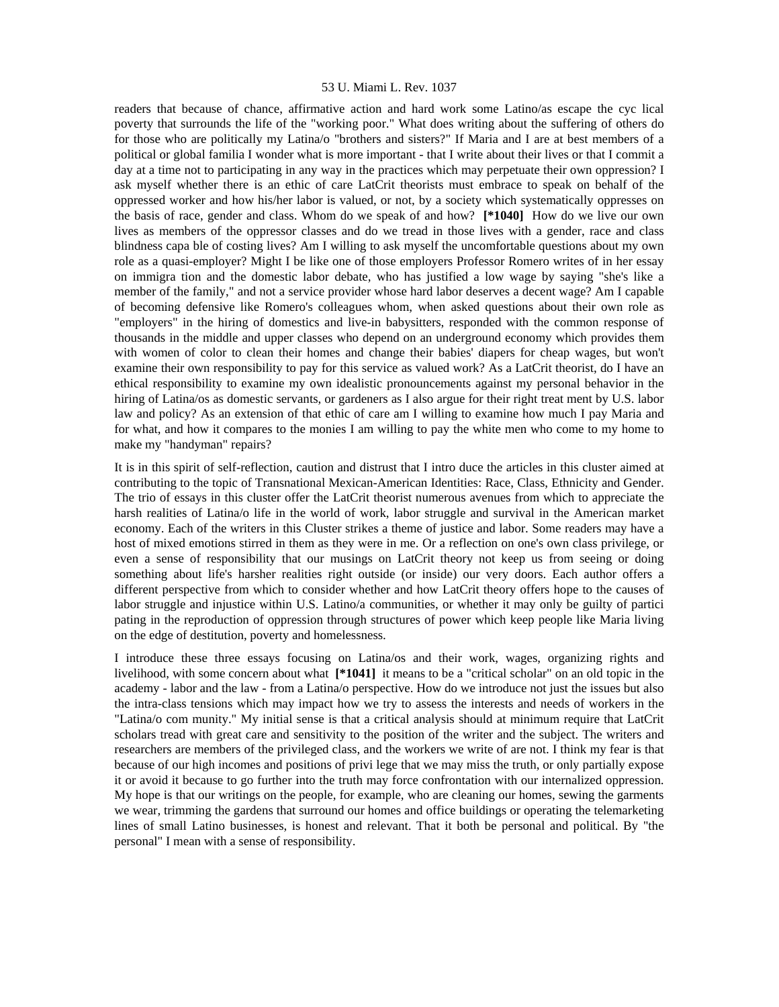readers that because of chance, affirmative action and hard work some Latino/as escape the cyc lical poverty that surrounds the life of the "working poor." What does writing about the suffering of others do for those who are politically my Latina/o "brothers and sisters?" If Maria and I are at best members of a political or global familia I wonder what is more important - that I write about their lives or that I commit a day at a time not to participating in any way in the practices which may perpetuate their own oppression? I ask myself whether there is an ethic of care LatCrit theorists must embrace to speak on behalf of the oppressed worker and how his/her labor is valued, or not, by a society which systematically oppresses on the basis of race, gender and class. Whom do we speak of and how? **[\*1040]** How do we live our own lives as members of the oppressor classes and do we tread in those lives with a gender, race and class blindness capa ble of costing lives? Am I willing to ask myself the uncomfortable questions about my own role as a quasi-employer? Might I be like one of those employers Professor Romero writes of in her essay on immigra tion and the domestic labor debate, who has justified a low wage by saying "she's like a member of the family," and not a service provider whose hard labor deserves a decent wage? Am I capable of becoming defensive like Romero's colleagues whom, when asked questions about their own role as "employers" in the hiring of domestics and live-in babysitters, responded with the common response of thousands in the middle and upper classes who depend on an underground economy which provides them with women of color to clean their homes and change their babies' diapers for cheap wages, but won't examine their own responsibility to pay for this service as valued work? As a LatCrit theorist, do I have an ethical responsibility to examine my own idealistic pronouncements against my personal behavior in the hiring of Latina/os as domestic servants, or gardeners as I also argue for their right treat ment by U.S. labor law and policy? As an extension of that ethic of care am I willing to examine how much I pay Maria and for what, and how it compares to the monies I am willing to pay the white men who come to my home to make my "handyman" repairs?

It is in this spirit of self-reflection, caution and distrust that I intro duce the articles in this cluster aimed at contributing to the topic of Transnational Mexican-American Identities: Race, Class, Ethnicity and Gender. The trio of essays in this cluster offer the LatCrit theorist numerous avenues from which to appreciate the harsh realities of Latina/o life in the world of work, labor struggle and survival in the American market economy. Each of the writers in this Cluster strikes a theme of justice and labor. Some readers may have a host of mixed emotions stirred in them as they were in me. Or a reflection on one's own class privilege, or even a sense of responsibility that our musings on LatCrit theory not keep us from seeing or doing something about life's harsher realities right outside (or inside) our very doors. Each author offers a different perspective from which to consider whether and how LatCrit theory offers hope to the causes of labor struggle and injustice within U.S. Latino/a communities, or whether it may only be guilty of partici pating in the reproduction of oppression through structures of power which keep people like Maria living on the edge of destitution, poverty and homelessness.

I introduce these three essays focusing on Latina/os and their work, wages, organizing rights and livelihood, with some concern about what **[\*1041]** it means to be a "critical scholar" on an old topic in the academy - labor and the law - from a Latina/o perspective. How do we introduce not just the issues but also the intra-class tensions which may impact how we try to assess the interests and needs of workers in the "Latina/o com munity." My initial sense is that a critical analysis should at minimum require that LatCrit scholars tread with great care and sensitivity to the position of the writer and the subject. The writers and researchers are members of the privileged class, and the workers we write of are not. I think my fear is that because of our high incomes and positions of privi lege that we may miss the truth, or only partially expose it or avoid it because to go further into the truth may force confrontation with our internalized oppression. My hope is that our writings on the people, for example, who are cleaning our homes, sewing the garments we wear, trimming the gardens that surround our homes and office buildings or operating the telemarketing lines of small Latino businesses, is honest and relevant. That it both be personal and political. By "the personal" I mean with a sense of responsibility.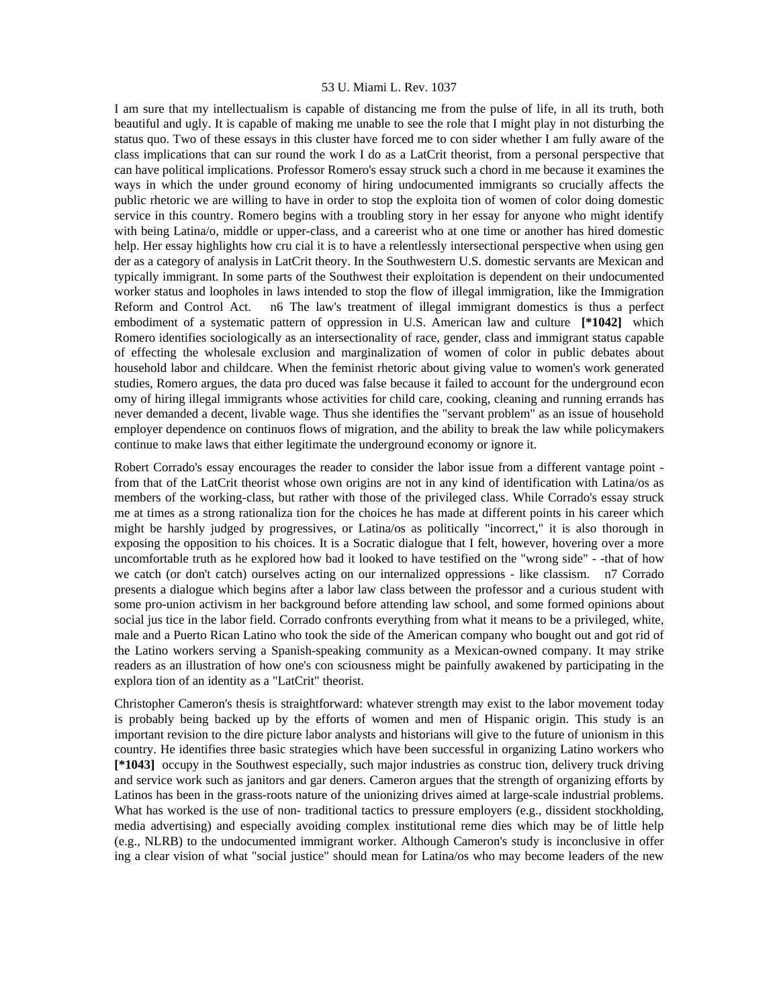I am sure that my intellectualism is capable of distancing me from the pulse of life, in all its truth, both beautiful and ugly. It is capable of making me unable to see the role that I might play in not disturbing the status quo. Two of these essays in this cluster have forced me to con sider whether I am fully aware of the class implications that can sur round the work I do as a LatCrit theorist, from a personal perspective that can have political implications. Professor Romero's essay struck such a chord in me because it examines the ways in which the under ground economy of hiring undocumented immigrants so crucially affects the public rhetoric we are willing to have in order to stop the exploita tion of women of color doing domestic service in this country. Romero begins with a troubling story in her essay for anyone who might identify with being Latina/o, middle or upper-class, and a careerist who at one time or another has hired domestic help. Her essay highlights how cru cial it is to have a relentlessly intersectional perspective when using gen der as a category of analysis in LatCrit theory. In the Southwestern U.S. domestic servants are Mexican and typically immigrant. In some parts of the Southwest their exploitation is dependent on their undocumented worker status and loopholes in laws intended to stop the flow of illegal immigration, like the Immigration Reform and Control Act. n6 The law's treatment of illegal immigrant domestics is thus a perfect embodiment of a systematic pattern of oppression in U.S. American law and culture **[\*1042]** which Romero identifies sociologically as an intersectionality of race, gender, class and immigrant status capable of effecting the wholesale exclusion and marginalization of women of color in public debates about household labor and childcare. When the feminist rhetoric about giving value to women's work generated studies, Romero argues, the data pro duced was false because it failed to account for the underground econ omy of hiring illegal immigrants whose activities for child care, cooking, cleaning and running errands has never demanded a decent, livable wage. Thus she identifies the "servant problem" as an issue of household employer dependence on continuos flows of migration, and the ability to break the law while policymakers continue to make laws that either legitimate the underground economy or ignore it.

Robert Corrado's essay encourages the reader to consider the labor issue from a different vantage point from that of the LatCrit theorist whose own origins are not in any kind of identification with Latina/os as members of the working-class, but rather with those of the privileged class. While Corrado's essay struck me at times as a strong rationaliza tion for the choices he has made at different points in his career which might be harshly judged by progressives, or Latina/os as politically "incorrect," it is also thorough in exposing the opposition to his choices. It is a Socratic dialogue that I felt, however, hovering over a more uncomfortable truth as he explored how bad it looked to have testified on the "wrong side" - -that of how we catch (or don't catch) ourselves acting on our internalized oppressions - like classism. n7 Corrado presents a dialogue which begins after a labor law class between the professor and a curious student with some pro-union activism in her background before attending law school, and some formed opinions about social jus tice in the labor field. Corrado confronts everything from what it means to be a privileged, white, male and a Puerto Rican Latino who took the side of the American company who bought out and got rid of the Latino workers serving a Spanish-speaking community as a Mexican-owned company. It may strike readers as an illustration of how one's con sciousness might be painfully awakened by participating in the explora tion of an identity as a "LatCrit" theorist.

Christopher Cameron's thesis is straightforward: whatever strength may exist to the labor movement today is probably being backed up by the efforts of women and men of Hispanic origin. This study is an important revision to the dire picture labor analysts and historians will give to the future of unionism in this country. He identifies three basic strategies which have been successful in organizing Latino workers who **[\*1043]** occupy in the Southwest especially, such major industries as construc tion, delivery truck driving and service work such as janitors and gar deners. Cameron argues that the strength of organizing efforts by Latinos has been in the grass-roots nature of the unionizing drives aimed at large-scale industrial problems. What has worked is the use of non- traditional tactics to pressure employers (e.g., dissident stockholding, media advertising) and especially avoiding complex institutional reme dies which may be of little help (e.g., NLRB) to the undocumented immigrant worker. Although Cameron's study is inconclusive in offer ing a clear vision of what "social justice" should mean for Latina/os who may become leaders of the new